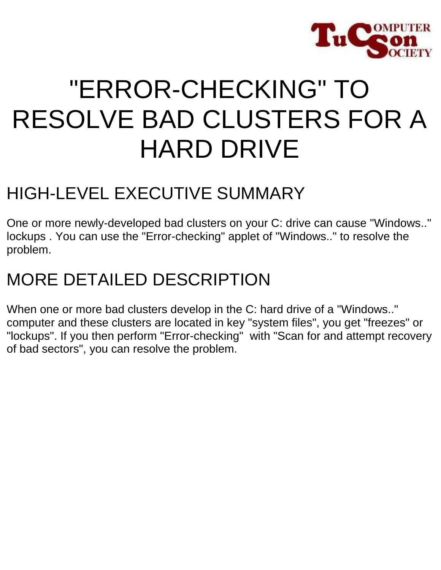

# "ERROR-CHECKING" TO RESOLVE BAD CLUSTERS FOR A HARD DRIVE

# HIGH-LEVEL EXECUTIVE SUMMARY

One or more newly-developed bad clusters on your C: drive can cause "Windows.." lockups . You can use the "Error-checking" applet of "Windows.." to resolve the problem.

# MORE DETAILED DESCRIPTION

When one or more bad clusters develop in the C: hard drive of a "Windows.." computer and these clusters are located in key "system files", you get "freezes" or "lockups". If you then perform "Error-checking" with "Scan for and attempt recovery of bad sectors", you can resolve the problem.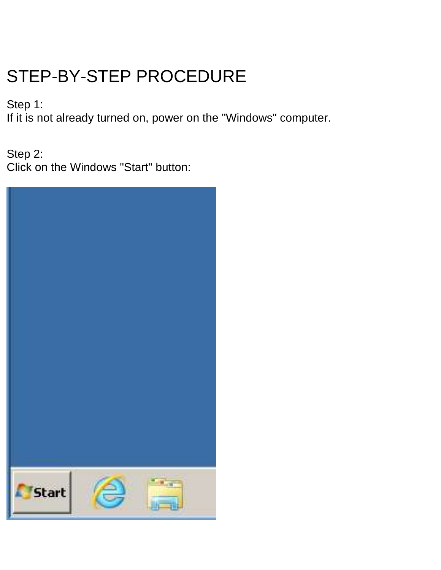# STEP-BY-STEP PROCEDURE

Step 1:

If it is not already turned on, power on the "Windows" computer.

Step 2: Click on the Windows "Start" button:

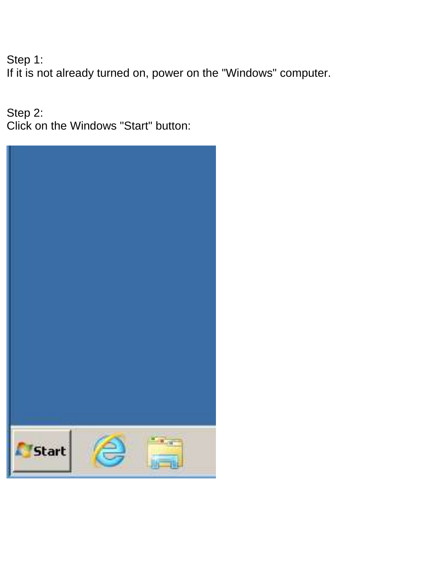Step 1: If it is not already turned on, power on the "Windows" computer.

Step 2: Click on the Windows "Start" button:

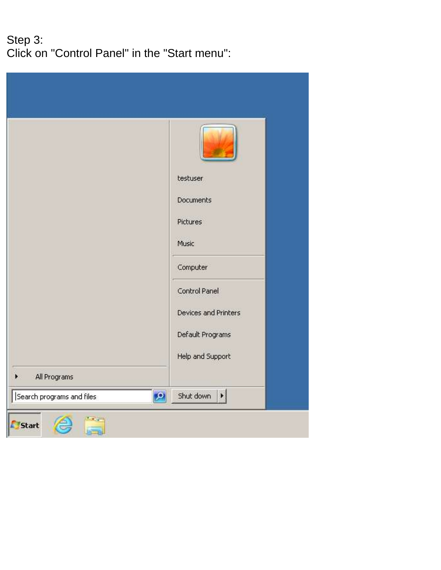#### Step 3: Click on "Control Panel" in the "Start menu":

|                           | testuser<br>Documents<br>Pictures             |
|---------------------------|-----------------------------------------------|
|                           | Music<br>Computer                             |
|                           | Control Panel<br>Devices and Printers         |
| All Programs              | Default Programs<br>Help and Support          |
| Search programs and files | Shut down<br>$ {\mathbf{Q}} $<br>$\mathbf{E}$ |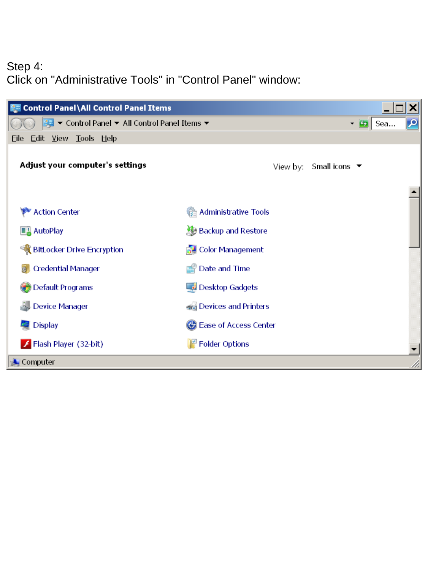### Step 4: Click on "Administrative Tools" in "Control Panel" window:

| <b>PE Control Panel\All Control Panel Items</b> |                                              |
|-------------------------------------------------|----------------------------------------------|
|                                                 | $-5$<br>Sea                                  |
| Edit View Tools Help<br>Eile                    |                                              |
| Adjust your computer's settings                 | Small icons $\blacktriangledown$<br>View by: |
|                                                 |                                              |
| <b>Action Center</b>                            | <b>Administrative Tools</b>                  |
| <b>B</b> AutoPlay                               | Backup and Restore                           |
| BitLocker Drive Encryption                      | <b>Color Management</b>                      |
| <b>Credential Manager</b>                       | Date and Time                                |
| Default Programs                                | Desktop Gadgets                              |
| <b>Device Manager</b>                           | sig Devices and Printers                     |
| <b>Display</b>                                  | Ease of Access Center                        |
| Flash Player (32-bit)                           | $\mathbb{F}$ Folder Options                  |
| Computer                                        |                                              |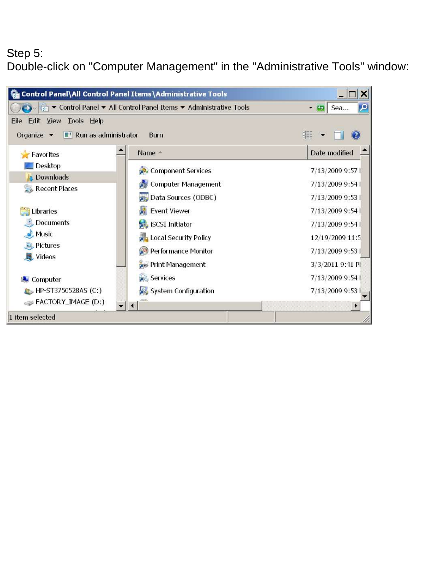#### Step 5: Double-click on "Computer Management" in the "Administrative Tools" window:

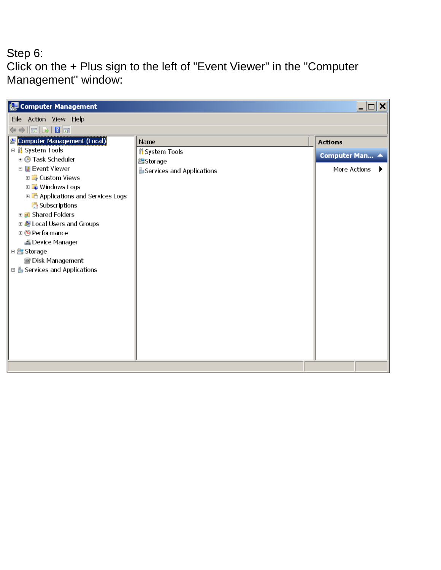#### Step 6: Click on the + Plus sign to the left of "Event Viewer" in the "Computer Management" window:

| Computer Management                                                                                                                                                                                                                                                                                                                                                                                               |                                                                                     | $\Box$ $\Box$ $\times$                           |
|-------------------------------------------------------------------------------------------------------------------------------------------------------------------------------------------------------------------------------------------------------------------------------------------------------------------------------------------------------------------------------------------------------------------|-------------------------------------------------------------------------------------|--------------------------------------------------|
| Eile Action View Help                                                                                                                                                                                                                                                                                                                                                                                             |                                                                                     |                                                  |
| $\Leftrightarrow  \overline{\mathbf{h}}  \mathbf{b}   \mathbf{R}$                                                                                                                                                                                                                                                                                                                                                 |                                                                                     |                                                  |
| Computer Management (Local)<br>□ ill System Tools<br><b>⊞ © Task Scheduler</b><br>□ <mark>■</mark> Event Viewer<br><b>⊞ Custom Views</b><br><b>E</b> Windows Logs<br><b>E L</b> Applications and Services Logs<br>Subscriptions<br><b>⊞ a</b> Shared Folders<br>□ & Local Users and Groups<br>⊕ © Performance<br>4 Device Manager<br>□ <mark>●</mark> Storage<br>图 Disk Management<br>□ services and Applications | Name<br><b><i>I</i></b> System Tools<br><b>Storage</b><br>Services and Applications | <b>Actions</b><br>Computer Man ▲<br>More Actions |
|                                                                                                                                                                                                                                                                                                                                                                                                                   |                                                                                     |                                                  |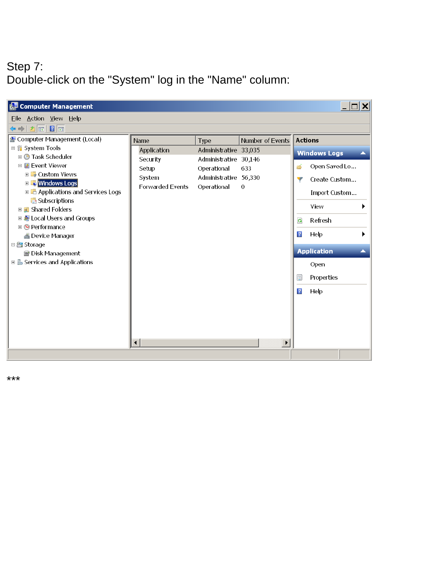## Step 7: Double-click on the "System" log in the "Name" column:

| Computer Management                                                                                           |                      |                                      |                       |                | $\overline{\phantom{a}}$ $\overline{\phantom{a}}$ $\overline{\phantom{a}}$ $\overline{\phantom{a}}$ |
|---------------------------------------------------------------------------------------------------------------|----------------------|--------------------------------------|-----------------------|----------------|-----------------------------------------------------------------------------------------------------|
| Eile Action View Help                                                                                         |                      |                                      |                       |                |                                                                                                     |
| $\Leftrightarrow$ $ \triangleright $ $\fbox{\overline{\pi}} $ $\fbox{\overline{\pi}}$ $\fbox{\overline{\pi}}$ |                      |                                      |                       |                |                                                                                                     |
| & Computer Management (Local)                                                                                 | Name                 | Type                                 | Number of Events      |                | <b>Actions</b>                                                                                      |
| □ ill System Tools<br><b>□ ⓒ Task Scheduler</b>                                                               | Application          | Administrative 33,035                |                       |                | <b>Windows Logs</b><br>▲                                                                            |
| □ R Event Viewer                                                                                              | Security             | Administrative 30,146                |                       | é              | Open Saved Lo                                                                                       |
| <b>⊞ B</b> Custom Views                                                                                       | Setup<br>System      | Operational<br>Administrative 56,330 | 633                   |                |                                                                                                     |
| <b>ED</b> Windows Logs                                                                                        | Forwarded Events     | Operational                          | 0                     | Ŧ              | Create Custom                                                                                       |
| <b>E B</b> Applications and Services Logs                                                                     |                      |                                      |                       |                | Import Custom                                                                                       |
| Subscriptions<br><b>□ a</b> Shared Folders                                                                    |                      |                                      |                       |                | View                                                                                                |
| □ & Local Users and Groups                                                                                    |                      |                                      |                       | $\mathbf{G}$   | Refresh                                                                                             |
| ⊕ © Performance                                                                                               |                      |                                      |                       | $\overline{?}$ | Help                                                                                                |
| ▲ Device Manager<br>□ 图 Storage                                                                               |                      |                                      |                       |                |                                                                                                     |
| 图 Disk Management                                                                                             |                      |                                      |                       |                | <b>Application</b><br>▲                                                                             |
| <b>El is Services and Applications</b>                                                                        |                      |                                      |                       |                | Open                                                                                                |
|                                                                                                               |                      |                                      |                       | 圍              | Properties                                                                                          |
|                                                                                                               |                      |                                      |                       | $\sqrt{2}$     | Help                                                                                                |
|                                                                                                               |                      |                                      |                       |                |                                                                                                     |
|                                                                                                               |                      |                                      |                       |                |                                                                                                     |
|                                                                                                               |                      |                                      |                       |                |                                                                                                     |
|                                                                                                               | $\blacktriangleleft$ |                                      | $\blacktriangleright$ |                |                                                                                                     |
|                                                                                                               |                      |                                      |                       |                |                                                                                                     |
|                                                                                                               |                      |                                      |                       |                |                                                                                                     |

\*\*\*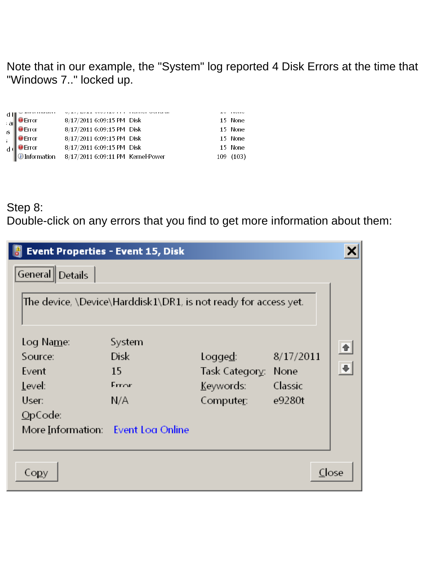Note that in our example, the "System" log reported 4 Disk Errors at the time that "Windows 7.." locked up.

| d I   <br>$a^{\parallel}$ | <b>O</b> Error       | 8/17/2011 6:09:15 PM Disk         |  | 15 None  |
|---------------------------|----------------------|-----------------------------------|--|----------|
| s                         | <b>O</b> Error       | 8/17/2011 6:09:15 PM Disk         |  | 15 None  |
|                           | <b>O</b> Error       | 8/17/2011 6:09:15 PM Disk         |  | 15 None  |
|                           | <b>O</b> Error       | 8/17/2011 6:09:15 PM Disk         |  | 15 None  |
|                           | <b>O</b> Information | 8/17/2011 6:09:11 PM Kernel-Power |  | 109(103) |

#### Step 8: Double-click on any errors that you find to get more information about them:

| <b>Event Properties - Event 15, Disk</b>                            |                                                                                                |                                         |                   |       |
|---------------------------------------------------------------------|------------------------------------------------------------------------------------------------|-----------------------------------------|-------------------|-------|
| General<br><b>Details</b><br>Log Na <u>m</u> e:<br>Source:<br>Event | The device, \Device\Harddisk1\DR1, is not ready for access yet.<br>System<br><b>Disk</b><br>15 | Logge <u>d</u> :<br>Task Category: None | 8/17/2011         |       |
| Level:<br>User:                                                     | Frror                                                                                          | Keywords:                               | Classic<br>e9280t |       |
| OpCode<br>More Information: Event Log Online                        | N/A                                                                                            | Computer:                               |                   |       |
| Co <u>p</u> y                                                       |                                                                                                |                                         |                   | Close |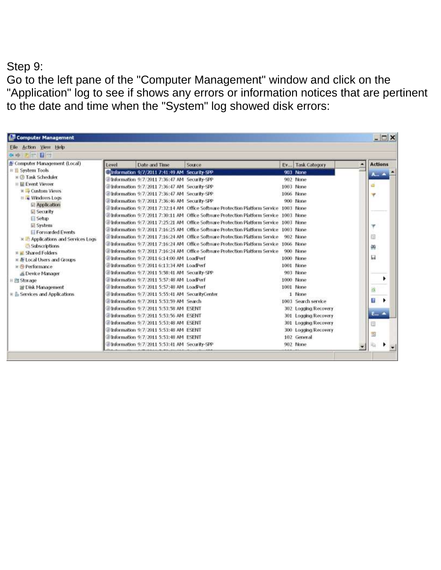#### Step 9:

Go to the left pane of the "Computer Management" window and click on the "Application" log to see if shows any errors or information notices that are pertinent to the date and time when the "System" log showed disk errors:

| <b>Computer Management</b>          |       |                                                 |                                                                                        |                      | $ \Box$ $\times$             |
|-------------------------------------|-------|-------------------------------------------------|----------------------------------------------------------------------------------------|----------------------|------------------------------|
| Eile Action View Help               |       |                                                 |                                                                                        |                      |                              |
| 2 回日付                               |       |                                                 |                                                                                        |                      |                              |
| Computer Management (Local)         | Level | Date and Time                                   | Source                                                                                 | Ev Task Category     | <b>Actions</b>               |
| 日 Il System Tools                   |       | Information 9/7/2011 7:41:49 AM Security-SPP    |                                                                                        | 903 None             | $A_{\text{out}}$ $\triangle$ |
| <b>E LA Task Scheduler</b>          |       | 2 Information 9/7/2011 7:36:47 AM Security-SPP  |                                                                                        | 902 None             |                              |
| III Lil Event Viewer                |       | @Information 9/7/2011 7:36:47 AM Security-SPP   |                                                                                        | 1003 None            | 줊                            |
| <b>E</b> Custom Views               |       | @Information 9/7/2011 7:36:47 AM Security-SPP   |                                                                                        | 1066 None            | ۳                            |
| E Vindows Logs                      |       | @Information 9/7/2011 7:36:46 AM Security-SPP   |                                                                                        | 900 None             |                              |
| Application                         |       |                                                 | @Information 9/7/2011 7:32:14 AM Office Software Protection Platform Service 1003 None |                      |                              |
| <b>El Security</b>                  |       |                                                 | @Information 9/7/2011 7:30:11 AM Office Software Protection Platform Service 1003 None |                      |                              |
| <b>Setup</b>                        |       |                                                 | @Information 9/7/2011 7:25:21 AM Office Software Protection Platform Service 1003 None |                      |                              |
| System<br>Forwarded Events          |       |                                                 | @Information 9/7/2011 7:16:25 AM Office Software Protection Platform Service 1003 None |                      |                              |
| E Applications and Services Logs    |       |                                                 | @Information 9/7/2011 7:16:24 AM Office Software Protection Platform Service           | 902 None             | 団                            |
| <b>Subscriptions</b>                |       |                                                 | @Information 9/7/2011 7:16:24 AM Office Software Protection Platform Service 1066 None |                      |                              |
| <b>E all Shared Folders</b>         |       |                                                 | @Information_9/7/2011_7:16:24 AM_Office Software Protection Platform Service           | 900 None             | 兽                            |
| E & Local Users and Groups          |       | @Information 9/7/2011 6:14:00 AM LoadPerf       |                                                                                        | 1000 None            | 词                            |
| # N Performance                     |       | @Information 9/7/2011 6:13:34 AM LoadPerf       |                                                                                        | 1001 None            |                              |
| as Device Manager                   |       | @Information 9/7/2011 5:58:41 AM Security-SPP   |                                                                                        | 903 None             |                              |
| E El Storage                        |       | @Information 9/7/2011 5:57:48 AM LoadPerf       |                                                                                        | 1000 None            | ٠                            |
| El Disk Management                  |       | Elnformation 9/7/2011 5:57:48 AM LoadPerf       |                                                                                        | 1001 None            |                              |
| <b>E.</b> Services and Applications |       | @Information 9/7/2011 5:55:41 AM SecurityCenter |                                                                                        | 1 None               | a                            |
|                                     |       | Dinformation 9/7/2011 5:53:59 AM Search         |                                                                                        | 1003 Search service  | Ð                            |
|                                     |       | @Information 9/7/2011 5:53:58 AM ESENT          |                                                                                        | 302 Logging Recovery |                              |
|                                     |       | Elinformation 9/7/2011 5:53:56 AM ESENT         |                                                                                        | 301 Logging/Recovery | $E_{\rm{m}}$ $\triangleq$    |
|                                     |       | D Information 9/7/2011 5:53:48 AM ESENT         |                                                                                        | 301 Logging Recovery | œ                            |
|                                     |       | @Information 9/7/2011 5:53:48 AM ESENT          |                                                                                        | 300 Logging Recovery |                              |
|                                     |       | @Information 9/7/2011 5:53:48 AM ESENT          |                                                                                        | 102 General          | 围                            |
|                                     |       | Chriormation 9/7/2011 5:53:41 AM Security-SPP   |                                                                                        | 902 None             | 脑                            |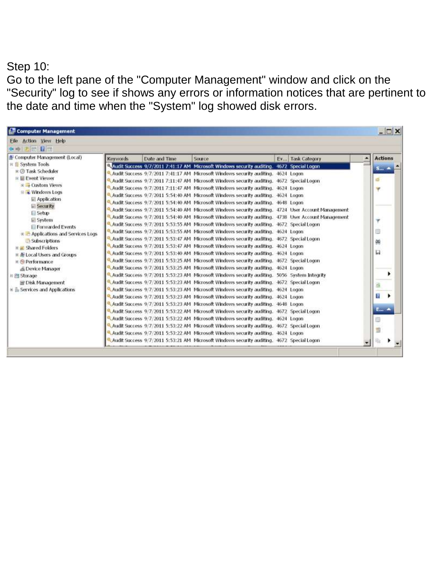#### Step 10:

Go to the left pane of the "Computer Management" window and click on the "Security" log to see if shows any errors or information notices that are pertinent to the date and time when the "System" log showed disk errors.

| <b>Computer Management</b>                  |                 |               |                                                                                                     |                  | $ \Box$ $\times$         |
|---------------------------------------------|-----------------|---------------|-----------------------------------------------------------------------------------------------------|------------------|--------------------------|
| Eile Action View Help                       |                 |               |                                                                                                     |                  |                          |
| 中方面目面                                       |                 |               |                                                                                                     |                  |                          |
| Computer Management (Local)                 | <b>Keywords</b> | Date and Time | Source                                                                                              | Ev Task Category | <b>Actions</b>           |
| 日 il System Tools                           |                 |               | Audit Success 9/7/2011 7:41:17 AM Microsoft Windows security auditing. 4672 Special Logon           |                  | $5$ $\triangle$          |
| <b>E C</b> Task Scheduler                   |                 |               | Audit Success 9/7/2011 7:41:17 AM Microsoft Windows security auditing. 4624 Logon                   |                  |                          |
| E Event Viewer                              |                 |               | Audit Success 9/7/2011 7:11:47 AM Microsoft Windows security auditing. 4672 Special Logon           |                  | ø                        |
| $E \rightarrow$ Custom Views                |                 |               | Audit Success 9/7/2011 7:11:47 AM. Microsoft Windows security auditing, 4624. Logon.                |                  | w                        |
| <b>E</b> Windows Logs                       |                 |               | Audit Success 9/7/2011 5:54:40 AM. Microsoft Windows security auditing. 4624 Logon                  |                  |                          |
| Application                                 |                 |               | Audit Success 9/7/2011 5:54:40 AM Microsoft Windows security auditing. 4648 Logon                   |                  |                          |
| <b>Security</b>                             |                 |               | Audit Success 9/7/2011 5:54:40 AM Microsoft Windows security auditing. 4724 User Account Management |                  |                          |
| Setup                                       |                 |               | Audit Success 9/7/2011 5:54:40 AM Microsoft Windows security auditing. 4738 User Account Management |                  |                          |
| <b>El System</b>                            |                 |               | Audit Success 9/7/2011 5:53:55 AM Microsoft Windows security auditing. 4672 Special Logon           |                  | ٧                        |
| <b>El Forwarded Events</b>                  |                 |               | Audit Success 9/7/2011 5:53:55 AM Microsoft Windows security auditing. 4624 Logon                   |                  | 66                       |
| E Applications and Services Logs            |                 |               | Audit Success 9/7/2011 5:53:47 AM Microsoft Windows security auditing. 4672 Special Logon           |                  |                          |
| Subscriptions<br><b>E at Shared Folders</b> |                 |               | Audit Success 9/7/2011 5:53:47 AM Microsoft Windows security auditing. 4624 Logon                   |                  | 鶙                        |
| <b>IF A Local Users and Groups</b>          |                 |               | Audit Success 9/7/2011 5:53:40 AM Microsoft Windows security auditing. 4624 Logon                   |                  | ш                        |
| <b>E &amp; Performance</b>                  |                 |               | Audit Success 9/7/2011 5:53:25 AM Microsoft Windows security auditing. 4672 Special Logon           |                  |                          |
| <b>E</b> Device Manager                     |                 |               | Audit Success 9/7/2011 5:53:25 AM Microsoft Windows security auditing. 4624 Logon                   |                  |                          |
| 日間 Storage                                  |                 |               | Audit Success 9/7/2011 5:53:23 AM Microsoft Windows security auditing. 5056 System Integrity        |                  |                          |
| El Disk Management                          |                 |               | Audit Success 9/7/2011 5:53:23 AM Microsoft Windows security auditing. 4672 Special Logon           |                  |                          |
| <b>E Services and Applications</b>          |                 |               | Audit Success 9/7/2011 5:53:23 AM Microsoft Windows security auditing. 4624 Logon                   |                  | a                        |
|                                             |                 |               | Audit Success 9/7/2011 5:53:23 AM Microsoft Windows security auditing. 4624 Logon                   |                  | Ŧ.                       |
|                                             |                 |               | Audit Success 9/7/2011 5:53:23 AM Microsoft Windows security auditing. 4648 Logon                   |                  |                          |
|                                             |                 |               | Audit Success 9/7/2011 5:53:22 AM Microsoft Windows security auditing. 4672 Special Logon           |                  | $E_{\rm{m}}$ $\triangle$ |
|                                             |                 |               | Audit Success 9/7/2011 5:53:22 AM Microsoft Windows security auditing. 4624 Logon                   |                  |                          |
|                                             |                 |               | Audit Success 9/7/2011 5:53:22 AM Microsoft Windows security auditing. 4672 Special Logon           |                  | Ð                        |
|                                             |                 |               | Audit Success 9/7/2011 5:53:22 AM Microsoft Windows security auditing. 4624 Logon                   |                  | S                        |
|                                             |                 |               | Audit Success 9/7/2011 5:53:21 AM Microsoft Windows security auditing. 4672 Special Logon           |                  | 瑜                        |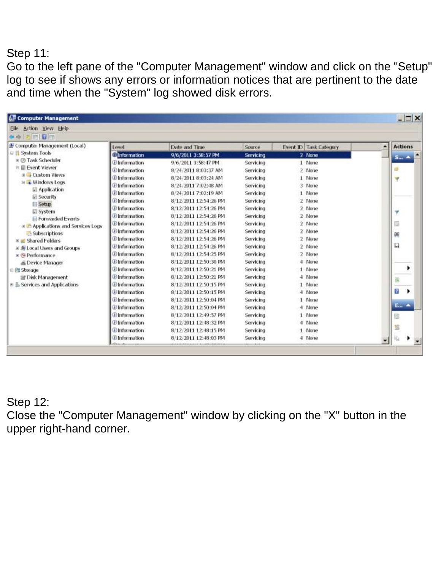#### Step 11:

Go to the left pane of the "Computer Management" window and click on the "Setup" log to see if shows any errors or information notices that are pertinent to the date and time when the "System" log showed disk errors.

| Eile Action View Help                                                 |                                   |                       |           |                        |   |                              |
|-----------------------------------------------------------------------|-----------------------------------|-----------------------|-----------|------------------------|---|------------------------------|
| 大陆接面                                                                  |                                   |                       |           |                        |   |                              |
| Computer Management (Local)                                           | Level                             | Date and Time         | Source    | Event ID Task Category | ٠ | <b>Actions</b>               |
| $\equiv \frac{\partial \mathbf{r}}{\partial \mathbf{r}}$ System Tools | <b>C</b> Information              | 9/6/2011 3:58:57 PM   | Servicing | 2 None                 |   | $S_{\text{max}}$ $\triangle$ |
| <b>E @ Task Scheduler</b>                                             | <b>D</b> Information              | 9/6/2011 3:58:47 PM   | Servicing | 1 None                 |   |                              |
| ■ <b>III Event Viewer</b>                                             | <sup>D</sup> Information          | 8/24/2011 8:03:37 AM  | Servicing | 2 None                 |   | a.                           |
| <b>El Gustom Views</b>                                                | D Information                     | 8/24/2011 8:03:24 AM  | Servicing | 1 None                 |   | v.                           |
| E La Windows Logs                                                     | <b>D</b> Information              | 8/24/2011 7:02:48 AM  | Servicing | 3 None                 |   |                              |
| <b>■ Application</b>                                                  | <b>D</b> Information              | 8/24/2011 7:02:19 AM  | Servicing | 1 None                 |   |                              |
| <b>El Security</b>                                                    | <b>D</b> Information              | 8/12/2011 12:54:26 PM | Servicing | 2 None                 |   |                              |
| <b>Setup</b>                                                          | <b>D</b> Information              | 8/12/2011 12:54:26 PM | Servicing | 2 None                 |   |                              |
| System                                                                | D Information                     | 8/12/2011 12:54:26 PM | Servicing | 2 None                 |   | ٠                            |
| <b>El Forwarded Events</b>                                            | <b><i><u>Dinformation</u></i></b> | 8/12/2011 12:54:26 PM | Servicing | 2 None                 |   | B                            |
| E Applications and Services Logs<br>Subscriptions                     | <b><i>O</i></b> Information       | 8/12/2011 12:54:26 PM | Servicing | 2 None                 |   |                              |
| <b>E E Shared Folders</b>                                             | <b>D</b> Information              | 8/12/2011 12:54:26 PM | Servicing | 2 None                 |   | 鷏                            |
| ※ 图 Local Users and Groups                                            | Il Information                    | 8/12/2011 12:54:26 PM | Servicing | 2 None                 |   | 目                            |
| <b>E</b> W Performance                                                | <b>D</b> Information              | 8/12/2011 12:54:25 PM | Servicing | 2 None                 |   |                              |
| E Device Manager                                                      | <b><i><u>Elpformation</u></i></b> | 8/12/2011 12:50:30 PM | Servicing | 4 None                 |   |                              |
| 日 图 Storage                                                           | <b>D</b> Information              | 8/12/2011 12:50:21 PM | Servicing | 1 None                 |   |                              |
| Disk Management                                                       | <b>D</b> Information              | 8/12/2011 12:50:21 PM | Servicing | 4 None                 |   |                              |
| E is Services and Applications                                        | Dinformation                      | 8/12/2011 12:50:15 PM | Servicing | 1 None                 |   | d.                           |
|                                                                       | <b>D</b> Information              | 8/12/2011 12:50:15 PM | Servicing | 4 None                 |   | f9.<br>٠                     |
|                                                                       | <b>Elnformation</b>               | 8/12/2011 12:50:04 PM | Servicing | 1 None                 |   |                              |
|                                                                       | <b>D</b> Information              | 8/12/2011 12:50:04 PM | Servicing | 4 None                 |   | E., 4                        |
|                                                                       | <b>D</b> Information              | 8/12/2011 12:49:57 PM | Servicing | 1 None                 |   | 隨                            |
|                                                                       | U Information                     | 8/12/2011 12:48:32 PM | Servicing | 4 None                 |   |                              |
|                                                                       | <b>D</b> Information              | 8/12/2011 12:48:15 PM | Servicing | 1 None                 |   | 圆                            |
|                                                                       | <b>D</b> Information              | 8/12/2011 12:48:03 PM | Servicing | 4 None                 | ۰ | 临                            |

#### Step 12:

Close the "Computer Management" window by clicking on the "X" button in the upper right-hand corner.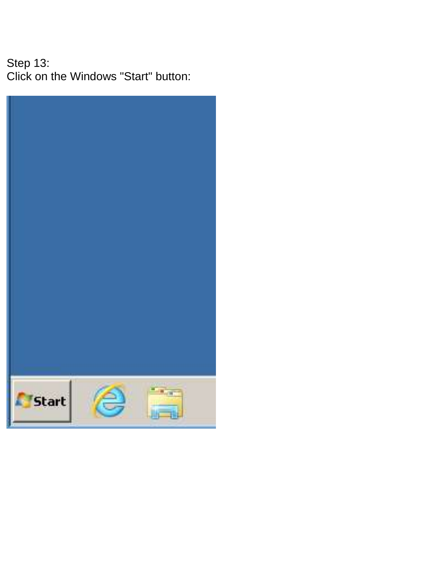Step 13: Click on the Windows "Start" button:

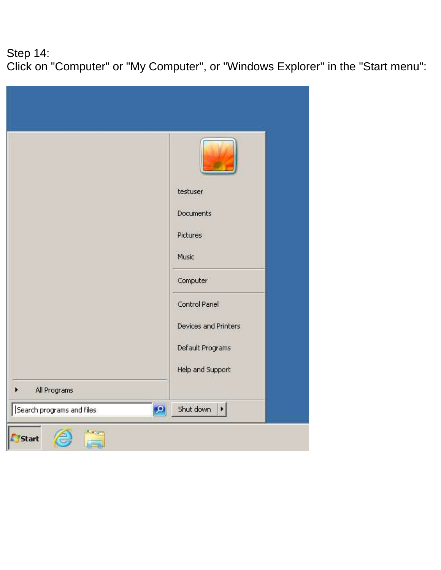### Step 14: Click on "Computer" or "My Computer", or "Windows Explorer" in the "Start menu":

| testuser<br>Documents<br>Pictures<br>Music<br>Computer<br>Control Panel<br>Devices and Printers<br>Default Programs<br>Help and Support<br>All Programs<br>$\vert \Omega \vert$<br>$\blacktriangleright$<br>Shut down<br>Search programs and files |  |
|----------------------------------------------------------------------------------------------------------------------------------------------------------------------------------------------------------------------------------------------------|--|
|                                                                                                                                                                                                                                                    |  |
|                                                                                                                                                                                                                                                    |  |
|                                                                                                                                                                                                                                                    |  |
|                                                                                                                                                                                                                                                    |  |
|                                                                                                                                                                                                                                                    |  |
|                                                                                                                                                                                                                                                    |  |
|                                                                                                                                                                                                                                                    |  |
|                                                                                                                                                                                                                                                    |  |
|                                                                                                                                                                                                                                                    |  |
|                                                                                                                                                                                                                                                    |  |
|                                                                                                                                                                                                                                                    |  |
|                                                                                                                                                                                                                                                    |  |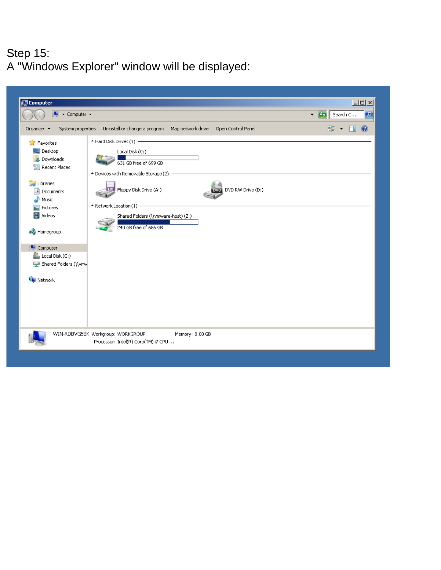#### Step 15: A "Windows Explorer" window will be displayed:

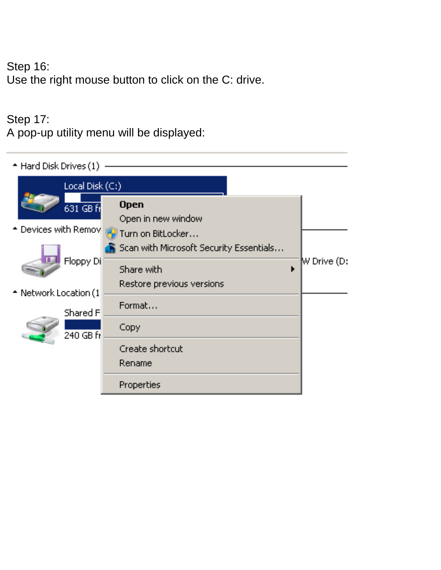Step 16: Use the right mouse button to click on the C: drive.

#### Step 17:

A pop-up utility menu will be displayed:

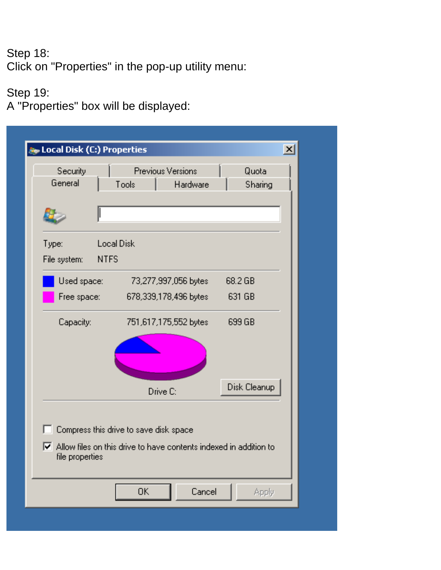#### Step 18: Click on "Properties" in the pop-up utility menu:

### Step 19:

A "Properties" box will be displayed:

| Local Disk (C:) Properties           |                                                                                                                                   | $\mathbf{x}$     |
|--------------------------------------|-----------------------------------------------------------------------------------------------------------------------------------|------------------|
| Security<br>General                  | <b>Previous Versions</b><br>Tools<br>Hardware                                                                                     | Quota<br>Sharing |
|                                      |                                                                                                                                   |                  |
| Type:<br><b>NTFS</b><br>File system: | <b>Local Disk</b>                                                                                                                 |                  |
| Used space:                          | 73,277,997,056 bytes                                                                                                              | 68.2 GB          |
| Free space:                          | 678,339,178,496 bytes                                                                                                             | 631 GB           |
| Capacity:                            | 751,617,175,552 bytes                                                                                                             | 699 GB           |
|                                      |                                                                                                                                   | Disk Cleanup     |
|                                      | Drive C:                                                                                                                          |                  |
| п<br>file properties                 | Compress this drive to save disk space<br>$\blacktriangleright$ Allow files on this drive to have contents indexed in addition to |                  |
|                                      | Cancel<br>OΚ                                                                                                                      | Apply            |
|                                      |                                                                                                                                   |                  |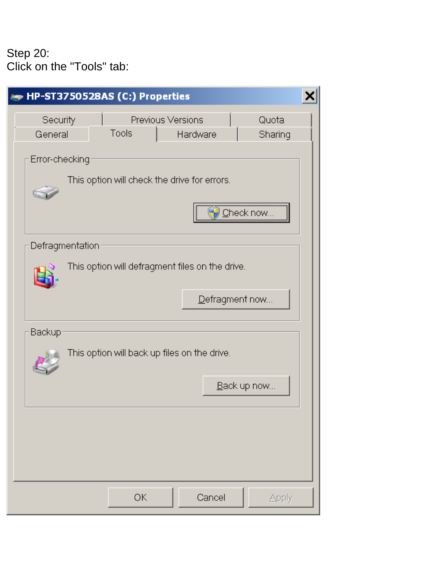#### Step 20: Click on the "Tools" tab:

| HP-ST3750528AS (C:) Properties                                                       |  |
|--------------------------------------------------------------------------------------|--|
| Security<br>Previous Versions<br>Quota<br>Tools<br>Sharing<br>General<br>Hardware    |  |
| Error-checking<br>This option will check the drive for errors.<br>heck now           |  |
| Defragmentation<br>This option will defragment files on the drive.<br>Defragment now |  |
| Backup<br>This option will back up files on the drive.<br>Back up now                |  |
|                                                                                      |  |
| ОK<br>Cancel<br>Apply                                                                |  |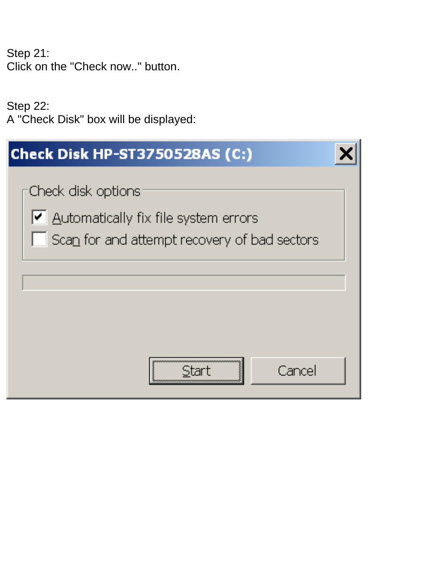Step 21: Click on the "Check now.." button.

Step 22: A "Check Disk" box will be displayed:

| Check Disk HP-ST3750528AS (C:)                                                                             |  |
|------------------------------------------------------------------------------------------------------------|--|
| Check disk options<br>Automatically fix file system errors<br>Scan for and attempt recovery of bad sectors |  |
| Cance                                                                                                      |  |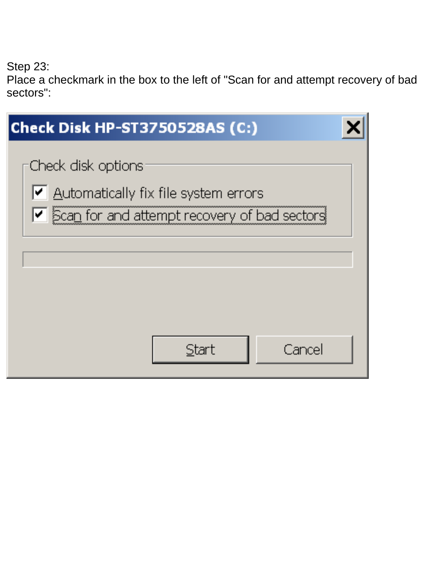Step 23:

Place a checkmark in the box to the left of "Scan for and attempt recovery of bad sectors":

| Check Disk HP-ST3750528AS (C:)                                                                                                                   |  |
|--------------------------------------------------------------------------------------------------------------------------------------------------|--|
| Check disk options<br>$\vert \blacktriangleleft \vert$ Automatically fix file system errors<br> ✔  Scan for and attempt recovery of bad sectors! |  |
| Cancel<br>Start                                                                                                                                  |  |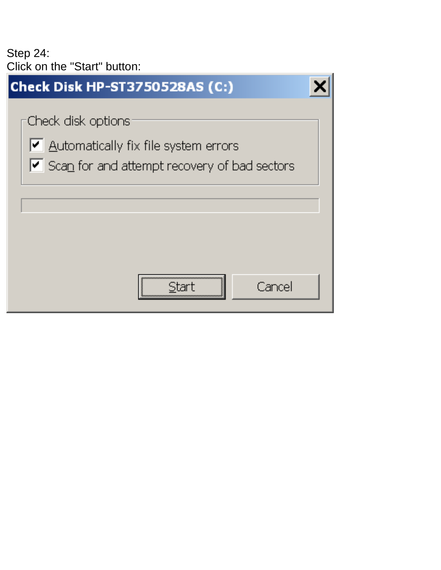Step 24: Click on the "Start" button:

| <b>Check Disk HP-ST3750528AS (C:)</b>                                                                      |  |
|------------------------------------------------------------------------------------------------------------|--|
| Check disk options<br>Automatically fix file system errors<br>Scan for and attempt recovery of bad sectors |  |
| Cancel                                                                                                     |  |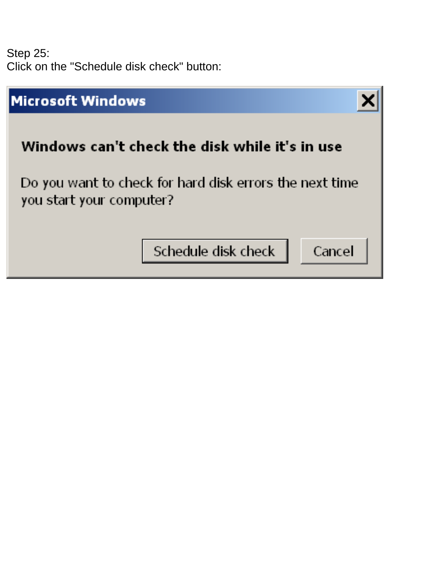Step 25: Click on the "Schedule disk check" button:

| <b>Microsoft Windows</b>                                                            |        |
|-------------------------------------------------------------------------------------|--------|
| Windows can't check the disk while it's in use                                      |        |
| Do you want to check for hard disk errors the next time<br>you start your computer? |        |
| Schedule disk check                                                                 | Cancel |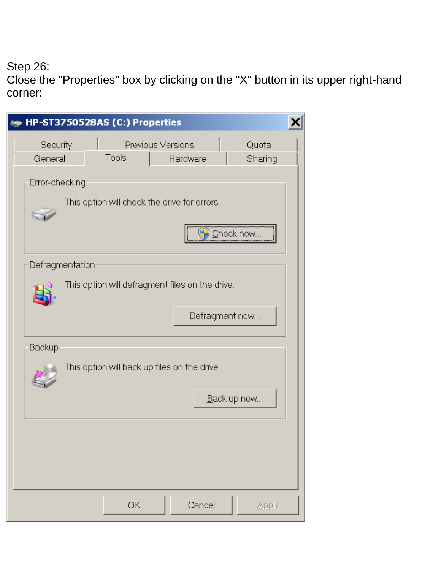Step 26:

Close the "Properties" box by clicking on the "X" button in its upper right-hand corner:

| HP-ST3750528AS (C:) Properties                                                       |  |
|--------------------------------------------------------------------------------------|--|
| Security<br>Quota<br>Previous Versions<br>Tools<br>Sharing<br>General<br>Hardware    |  |
| Error-checking<br>This option will check the drive for errors.                       |  |
| Defragmentation<br>This option will defragment files on the drive.<br>Defragment now |  |
| Backup<br>This option will back up files on the drive.<br>Back up now                |  |
|                                                                                      |  |
| ОK<br>Cancel<br>Apply                                                                |  |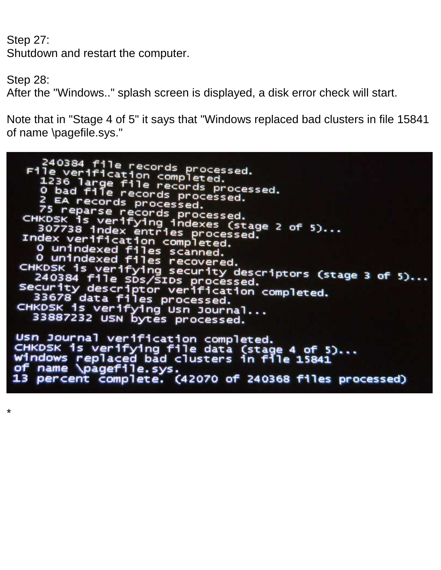Step 27:

Shutdown and restart the computer.

Step 28:

\*

After the "Windows.." splash screen is displayed, a disk error check will start.

Note that in "Stage 4 of 5" it says that "Windows replaced bad clusters in file 15841 of name \pagefile.sys."